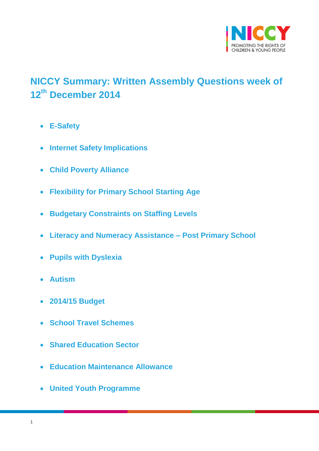

# <span id="page-0-0"></span>**NICCY Summary: Written Assembly Questions week of 12th December 2014**

- **[E-Safety](#page-2-0)**
- **[Internet Safety Implications](#page-3-0)**
- **[Child Poverty Alliance](#page-4-0)**
- **[Flexibility for Primary School Starting Age](#page-5-0)**
- **[Budgetary Constraints on Staffing Levels](#page-5-1)**
- **[Literacy and Numeracy Assistance –](#page-6-0) Post Primary School**
- **[Pupils with Dyslexia](#page-7-0)**
- **[Autism](#page-8-0)**
- **[2014/15 Budget](#page-8-1)**
- **[School Travel Schemes](#page-9-0)**
- **[Shared Education Sector](#page-11-0)**
- **[Education Maintenance Allowance](#page-12-0)**
- **[United Youth Programme](#page-13-0)**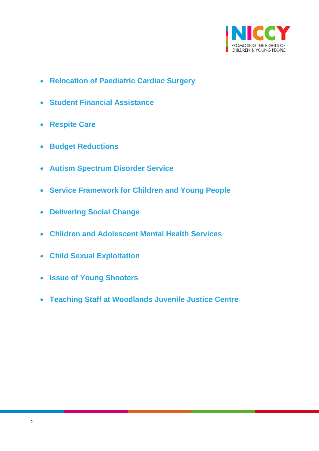

- **[Relocation of Paediatric Cardiac Surgery](#page-14-0)**
- **[Student Financial Assistance](#page-12-1)**
- **[Respite Care](#page-14-1)**
- **[Budget Reductions](#page-15-0)**
- **[Autism Spectrum Disorder Service](#page-15-1)**
- **[Service Framework for Children and Young People](#page-18-0)**
- **[Delivering Social Change](#page-19-0)**
- **[Children and Adolescent Mental Health Services](#page-19-1)**
- **[Child Sexual Exploitation](#page-20-0)**
- **[Issue of Young Shooters](#page-21-0)**
- **[Teaching Staff at Woodlands Juvenile Justice Centre](#page-21-1)**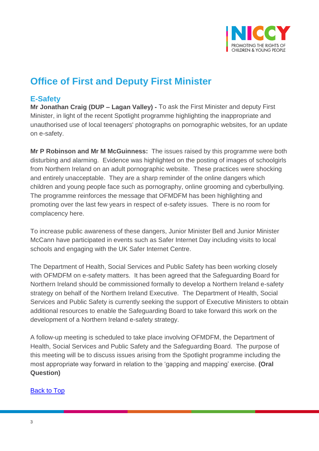

# **Office of First and Deputy First Minister**

## <span id="page-2-0"></span>**E-Safety**

**Mr Jonathan Craig (DUP – Lagan Valley) -** To ask the First Minister and deputy First Minister, in light of the recent Spotlight programme highlighting the inappropriate and unauthorised use of local teenagers' photographs on pornographic websites, for an update on e-safety.

**Mr P Robinson and Mr M McGuinness:** The issues raised by this programme were both disturbing and alarming. Evidence was highlighted on the posting of images of schoolgirls from Northern Ireland on an adult pornographic website. These practices were shocking and entirely unacceptable. They are a sharp reminder of the online dangers which children and young people face such as pornography, online grooming and cyberbullying. The programme reinforces the message that OFMDFM has been highlighting and promoting over the last few years in respect of e-safety issues. There is no room for complacency here.

To increase public awareness of these dangers, Junior Minister Bell and Junior Minister McCann have participated in events such as Safer Internet Day including visits to local schools and engaging with the UK Safer Internet Centre.

The Department of Health, Social Services and Public Safety has been working closely with OFMDFM on e-safety matters. It has been agreed that the Safeguarding Board for Northern Ireland should be commissioned formally to develop a Northern Ireland e-safety strategy on behalf of the Northern Ireland Executive. The Department of Health, Social Services and Public Safety is currently seeking the support of Executive Ministers to obtain additional resources to enable the Safeguarding Board to take forward this work on the development of a Northern Ireland e-safety strategy.

A follow-up meeting is scheduled to take place involving OFMDFM, the Department of Health, Social Services and Public Safety and the Safeguarding Board. The purpose of this meeting will be to discuss issues arising from the Spotlight programme including the most appropriate way forward in relation to the 'gapping and mapping' exercise. **(Oral Question)**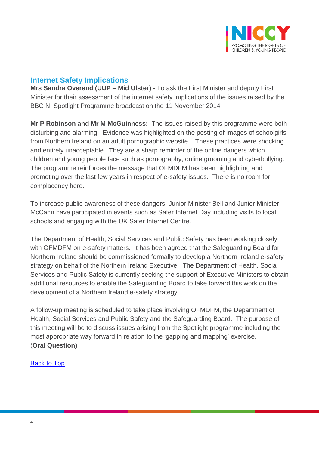

## <span id="page-3-0"></span>**Internet Safety Implications**

**Mrs Sandra Overend (UUP – Mid Ulster) -** To ask the First Minister and deputy First Minister for their assessment of the internet safety implications of the issues raised by the BBC NI Spotlight Programme broadcast on the 11 November 2014.

**Mr P Robinson and Mr M McGuinness:** The issues raised by this programme were both disturbing and alarming. Evidence was highlighted on the posting of images of schoolgirls from Northern Ireland on an adult pornographic website. These practices were shocking and entirely unacceptable. They are a sharp reminder of the online dangers which children and young people face such as pornography, online grooming and cyberbullying. The programme reinforces the message that OFMDFM has been highlighting and promoting over the last few years in respect of e-safety issues. There is no room for complacency here.

To increase public awareness of these dangers, Junior Minister Bell and Junior Minister McCann have participated in events such as Safer Internet Day including visits to local schools and engaging with the UK Safer Internet Centre.

The Department of Health, Social Services and Public Safety has been working closely with OFMDFM on e-safety matters. It has been agreed that the Safeguarding Board for Northern Ireland should be commissioned formally to develop a Northern Ireland e-safety strategy on behalf of the Northern Ireland Executive. The Department of Health, Social Services and Public Safety is currently seeking the support of Executive Ministers to obtain additional resources to enable the Safeguarding Board to take forward this work on the development of a Northern Ireland e-safety strategy.

A follow-up meeting is scheduled to take place involving OFMDFM, the Department of Health, Social Services and Public Safety and the Safeguarding Board. The purpose of this meeting will be to discuss issues arising from the Spotlight programme including the most appropriate way forward in relation to the 'gapping and mapping' exercise. (**Oral Question)**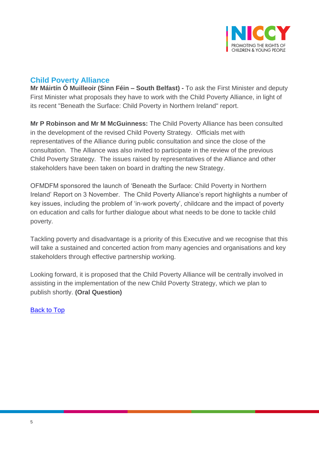

# <span id="page-4-0"></span>**Child Poverty Alliance**

**Mr Máirtín Ó Muilleoir (Sinn Féin – South Belfast) -** To ask the First Minister and deputy First Minister what proposals they have to work with the Child Poverty Alliance, in light of its recent "Beneath the Surface: Child Poverty in Northern Ireland" report.

**Mr P Robinson and Mr M McGuinness:** The Child Poverty Alliance has been consulted in the development of the revised Child Poverty Strategy. Officials met with representatives of the Alliance during public consultation and since the close of the consultation. The Alliance was also invited to participate in the review of the previous Child Poverty Strategy. The issues raised by representatives of the Alliance and other stakeholders have been taken on board in drafting the new Strategy.

OFMDFM sponsored the launch of 'Beneath the Surface: Child Poverty in Northern Ireland' Report on 3 November. The Child Poverty Alliance's report highlights a number of key issues, including the problem of 'in-work poverty', childcare and the impact of poverty on education and calls for further dialogue about what needs to be done to tackle child poverty.

Tackling poverty and disadvantage is a priority of this Executive and we recognise that this will take a sustained and concerted action from many agencies and organisations and key stakeholders through effective partnership working.

Looking forward, it is proposed that the Child Poverty Alliance will be centrally involved in assisting in the implementation of the new Child Poverty Strategy, which we plan to publish shortly. **(Oral Question)**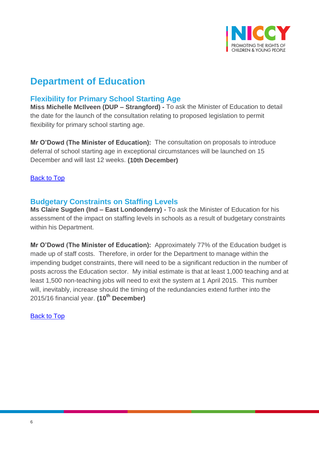

# **Department of Education**

# <span id="page-5-0"></span>**Flexibility for Primary School Starting Age**

**Miss Michelle McIlveen (DUP – Strangford) -** To ask the Minister of Education to detail the date for the launch of the consultation relating to proposed legislation to permit flexibility for primary school starting age.

**Mr O'Dowd (The Minister of Education):** The consultation on proposals to introduce deferral of school starting age in exceptional circumstances will be launched on 15 December and will last 12 weeks. **(10th December)**

[Back to Top](#page-0-0)

# <span id="page-5-1"></span>**Budgetary Constraints on Staffing Levels**

**Ms Claire Sugden (Ind – East Londonderry) -** To ask the Minister of Education for his assessment of the impact on staffing levels in schools as a result of budgetary constraints within his Department.

**Mr O'Dowd (The Minister of Education):** Approximately 77% of the Education budget is made up of staff costs. Therefore, in order for the Department to manage within the impending budget constraints, there will need to be a significant reduction in the number of posts across the Education sector. My initial estimate is that at least 1,000 teaching and at least 1,500 non-teaching jobs will need to exit the system at 1 April 2015. This number will, inevitably, increase should the timing of the redundancies extend further into the 2015/16 financial year. **(10th December)**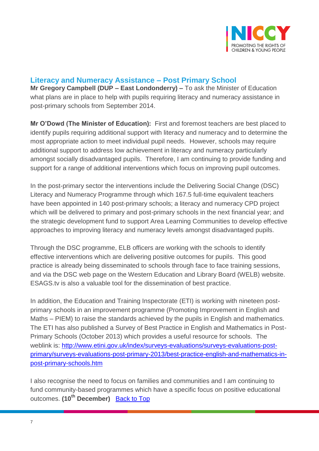

# <span id="page-6-0"></span>**Literacy and Numeracy Assistance – Post Primary School**

**Mr Gregory Campbell (DUP – East Londonderry) –** To ask the Minister of Education what plans are in place to help with pupils requiring literacy and numeracy assistance in post-primary schools from September 2014.

**Mr O'Dowd (The Minister of Education):** First and foremost teachers are best placed to identify pupils requiring additional support with literacy and numeracy and to determine the most appropriate action to meet individual pupil needs. However, schools may require additional support to address low achievement in literacy and numeracy particularly amongst socially disadvantaged pupils. Therefore, I am continuing to provide funding and support for a range of additional interventions which focus on improving pupil outcomes.

In the post-primary sector the interventions include the Delivering Social Change (DSC) Literacy and Numeracy Programme through which 167.5 full-time equivalent teachers have been appointed in 140 post-primary schools; a literacy and numeracy CPD project which will be delivered to primary and post-primary schools in the next financial year; and the strategic development fund to support Area Learning Communities to develop effective approaches to improving literacy and numeracy levels amongst disadvantaged pupils.

Through the DSC programme, ELB officers are working with the schools to identify effective interventions which are delivering positive outcomes for pupils. This good practice is already being disseminated to schools through face to face training sessions, and via the DSC web page on the Western Education and Library Board (WELB) website. ESAGS.tv is also a valuable tool for the dissemination of best practice.

In addition, the Education and Training Inspectorate (ETI) is working with nineteen postprimary schools in an improvement programme (Promoting Improvement in English and Maths – PIEM) to raise the standards achieved by the pupils in English and mathematics. The ETI has also published a Survey of Best Practice in English and Mathematics in Post-Primary Schools (October 2013) which provides a useful resource for schools. The weblink is: [http://www.etini.gov.uk/index/surveys-evaluations/surveys-evaluations-post](http://www.etini.gov.uk/index/surveys-evaluations/surveys-evaluations-post-primary/surveys-evaluations-post-primary-2013/best-practice-english-and-mathematics-in-post-primary-schools.htm)[primary/surveys-evaluations-post-primary-2013/best-practice-english-and-mathematics-in](http://www.etini.gov.uk/index/surveys-evaluations/surveys-evaluations-post-primary/surveys-evaluations-post-primary-2013/best-practice-english-and-mathematics-in-post-primary-schools.htm)[post-primary-schools.htm](http://www.etini.gov.uk/index/surveys-evaluations/surveys-evaluations-post-primary/surveys-evaluations-post-primary-2013/best-practice-english-and-mathematics-in-post-primary-schools.htm)

I also recognise the need to focus on families and communities and I am continuing to fund community-based programmes which have a specific focus on positive educational outcomes. **(10th December)** [Back to Top](#page-0-0)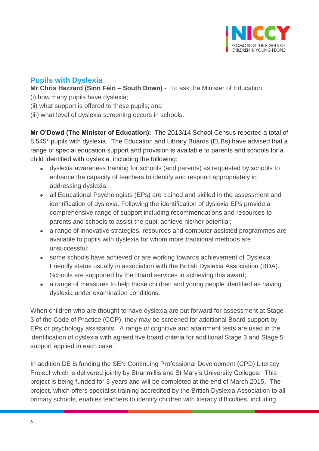

# <span id="page-7-0"></span>**Pupils with Dyslexia**

**Mr Chris Hazzard (Sinn Féin – South Down) -** To ask the Minister of Education

- (i) how many pupils have dyslexia;
- (ii) what support is offered to these pupils; and
- (iii) what level of dyslexia screening occurs in schools.

**Mr O'Dowd (The Minister of Education):** The 2013/14 School Census reported a total of 8,545\* pupils with dyslexia. The Education and Library Boards (ELBs) have advised that a range of special education support and provision is available to parents and schools for a child identified with dyslexia, including the following:

- dyslexia awareness training for schools (and parents) as requested by schools to enhance the capacity of teachers to identify and respond appropriately in addressing dyslexia;
- all Educational Psychologists (EPs) are trained and skilled in the assessment and identification of dyslexia. Following the identification of dyslexia EPs provide a comprehensive range of support including recommendations and resources to parents and schools to assist the pupil achieve his/her potential;
- a range of innovative strategies, resources and computer assisted programmes are available to pupils with dyslexia for whom more traditional methods are unsuccessful;
- some schools have achieved or are working towards achievement of Dyslexia Friendly status usually in association with the British Dyslexia Association (BDA). Schools are supported by the Board services in achieving this award;
- a range of measures to help those children and young people identified as having dyslexia under examination conditions.

When children who are thought to have dyslexia are put forward for assessment at Stage 3 of the Code of Practice (COP), they may be screened for additional Board support by EPs or psychology assistants. A range of cognitive and attainment tests are used in the identification of dyslexia with agreed five board criteria for additional Stage 3 and Stage 5 support applied in each case.

In addition DE is funding the SEN Continuing Professional Development (CPD) Literacy Project which is delivered jointly by Stranmillis and St Mary's University Colleges. This project is being funded for 3 years and will be completed at the end of March 2015. The project, which offers specialist training accredited by the British Dyslexia Association to all primary schools, enables teachers to identify children with literacy difficulties, including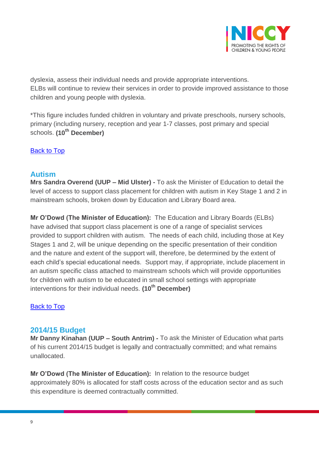

dyslexia, assess their individual needs and provide appropriate interventions. ELBs will continue to review their services in order to provide improved assistance to those children and young people with dyslexia.

\*This figure includes funded children in voluntary and private preschools, nursery schools, primary (including nursery, reception and year 1-7 classes, post primary and special schools. **(10th December)**

[Back to Top](#page-0-0)

## <span id="page-8-0"></span>**Autism**

**Mrs Sandra Overend (UUP – Mid Ulster) -** To ask the Minister of Education to detail the level of access to support class placement for children with autism in Key Stage 1 and 2 in mainstream schools, broken down by Education and Library Board area.

**Mr O'Dowd (The Minister of Education):** The Education and Library Boards (ELBs) have advised that support class placement is one of a range of specialist services provided to support children with autism. The needs of each child, including those at Key Stages 1 and 2, will be unique depending on the specific presentation of their condition and the nature and extent of the support will, therefore, be determined by the extent of each child's special educational needs. Support may, if appropriate, include placement in an autism specific class attached to mainstream schools which will provide opportunities for children with autism to be educated in small school settings with appropriate interventions for their individual needs. **(10th December)**

[Back to Top](#page-0-0)

# <span id="page-8-1"></span>**2014/15 Budget**

**Mr Danny Kinahan (UUP – South Antrim) -** To ask the Minister of Education what parts of his current 2014/15 budget is legally and contractually committed; and what remains unallocated.

**Mr O'Dowd (The Minister of Education):** In relation to the resource budget approximately 80% is allocated for staff costs across of the education sector and as such this expenditure is deemed contractually committed.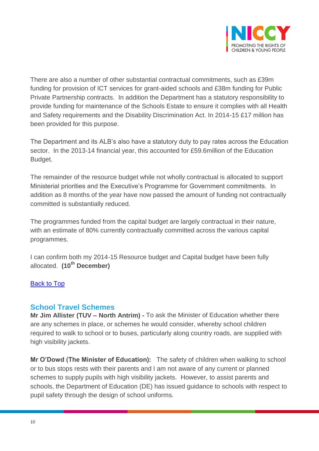

There are also a number of other substantial contractual commitments, such as £39m funding for provision of ICT services for grant-aided schools and £38m funding for Public Private Partnership contracts. In addition the Department has a statutory responsibility to provide funding for maintenance of the Schools Estate to ensure it complies with all Health and Safety requirements and the Disability Discrimination Act. In 2014-15 £17 million has been provided for this purpose.

The Department and its ALB's also have a statutory duty to pay rates across the Education sector. In the 2013-14 financial year, this accounted for £59.6million of the Education Budget.

The remainder of the resource budget while not wholly contractual is allocated to support Ministerial priorities and the Executive's Programme for Government commitments. In addition as 8 months of the year have now passed the amount of funding not contractually committed is substantially reduced.

The programmes funded from the capital budget are largely contractual in their nature, with an estimate of 80% currently contractually committed across the various capital programmes.

I can confirm both my 2014-15 Resource budget and Capital budget have been fully allocated. **(10th December)**

### [Back to Top](#page-0-0)

### <span id="page-9-0"></span>**School Travel Schemes**

**Mr Jim Allister (TUV – North Antrim) -** To ask the Minister of Education whether there are any schemes in place, or schemes he would consider, whereby school children required to walk to school or to buses, particularly along country roads, are supplied with high visibility jackets.

**Mr O'Dowd (The Minister of Education):** The safety of children when walking to school or to bus stops rests with their parents and I am not aware of any current or planned schemes to supply pupils with high visibility jackets. However, to assist parents and schools, the Department of Education (DE) has issued guidance to schools with respect to pupil safety through the design of school uniforms.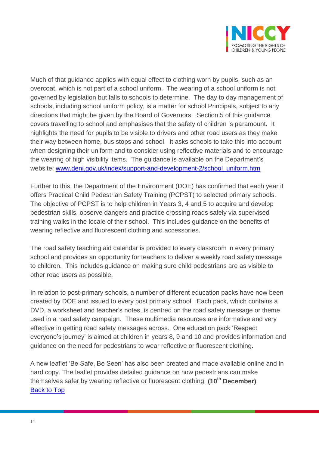

Much of that guidance applies with equal effect to clothing worn by pupils, such as an overcoat, which is not part of a school uniform. The wearing of a school uniform is not governed by legislation but falls to schools to determine. The day to day management of schools, including school uniform policy, is a matter for school Principals, subject to any directions that might be given by the Board of Governors. Section 5 of this guidance covers travelling to school and emphasises that the safety of children is paramount. It highlights the need for pupils to be visible to drivers and other road users as they make their way between home, bus stops and school. It asks schools to take this into account when designing their uniform and to consider using reflective materials and to encourage the wearing of high visibility items. The guidance is available on the Department's website: [www.deni.gov.uk/index/support-and-development-2/school\\_uniform.htm](http://www.deni.gov.uk/index/support-and-development-2/school_uniform.htm)

Further to this, the Department of the Environment (DOE) has confirmed that each year it offers Practical Child Pedestrian Safety Training (PCPST) to selected primary schools. The objective of PCPST is to help children in Years 3, 4 and 5 to acquire and develop pedestrian skills, observe dangers and practice crossing roads safely via supervised training walks in the locale of their school. This includes guidance on the benefits of wearing reflective and fluorescent clothing and accessories.

The road safety teaching aid calendar is provided to every classroom in every primary school and provides an opportunity for teachers to deliver a weekly road safety message to children. This includes guidance on making sure child pedestrians are as visible to other road users as possible.

In relation to post-primary schools, a number of different education packs have now been created by DOE and issued to every post primary school. Each pack, which contains a DVD, a worksheet and teacher's notes, is centred on the road safety message or theme used in a road safety campaign. These multimedia resources are informative and very effective in getting road safety messages across. One education pack 'Respect everyone's journey' is aimed at children in years 8, 9 and 10 and provides information and guidance on the need for pedestrians to wear reflective or fluorescent clothing.

A new leaflet 'Be Safe, Be Seen' has also been created and made available online and in hard copy. The leaflet provides detailed guidance on how pedestrians can make themselves safer by wearing reflective or fluorescent clothing. **(10th December)**  [Back to Top](#page-0-0)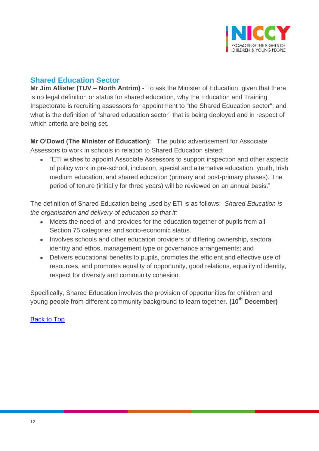

# <span id="page-11-0"></span>**Shared Education Sector**

**Mr Jim Allister (TUV – North Antrim) -** To ask the Minister of Education, given that there is no legal definition or status for shared education, why the Education and Training Inspectorate is recruiting assessors for appointment to "the Shared Education sector"; and what is the definition of "shared education sector" that is being deployed and in respect of which criteria are being set.

**Mr O'Dowd (The Minister of Education):** The public advertisement for Associate Assessors to work in schools in relation to Shared Education stated:

 "ETI wishes to appoint Associate Assessors to support inspection and other aspects of policy work in pre-school, inclusion, special and alternative education, youth, Irish medium education, and shared education (primary and post-primary phases). The period of tenure (initially for three years) will be reviewed on an annual basis."

The definition of Shared Education being used by ETI is as follows: *Shared Education is the organisation and delivery of education so that it:*

- Meets the need of, and provides for the education together of pupils from all Section 75 categories and socio-economic status.
- Involves schools and other education providers of differing ownership, sectoral identity and ethos, management type or governance arrangements; and
- Delivers educational benefits to pupils, promotes the efficient and effective use of resources, and promotes equality of opportunity, good relations, equality of identity, respect for diversity and community cohesion.

Specifically, Shared Education involves the provision of opportunities for children and young people from different community background to learn together. **(10th December)**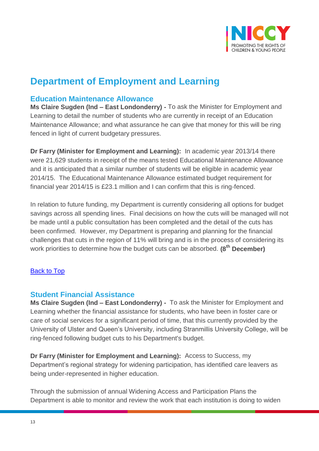

# **Department of Employment and Learning**

### <span id="page-12-0"></span>**Education Maintenance Allowance**

**Ms Claire Sugden (Ind – East Londonderry) -** To ask the Minister for Employment and Learning to detail the number of students who are currently in receipt of an Education Maintenance Allowance; and what assurance he can give that money for this will be ring fenced in light of current budgetary pressures.

**Dr Farry (Minister for Employment and Learning):** In academic year 2013/14 there were 21,629 students in receipt of the means tested Educational Maintenance Allowance and it is anticipated that a similar number of students will be eligible in academic year 2014/15. The Educational Maintenance Allowance estimated budget requirement for financial year 2014/15 is £23.1 million and I can confirm that this is ring-fenced.

In relation to future funding, my Department is currently considering all options for budget savings across all spending lines. Final decisions on how the cuts will be managed will not be made until a public consultation has been completed and the detail of the cuts has been confirmed. However, my Department is preparing and planning for the financial challenges that cuts in the region of 11% will bring and is in the process of considering its work priorities to determine how the budget cuts can be absorbed. **(8th December)**

### [Back to Top](#page-0-0)

## <span id="page-12-1"></span>**Student Financial Assistance**

**Ms Claire Sugden (Ind – East Londonderry) -** To ask the Minister for Employment and Learning whether the financial assistance for students, who have been in foster care or care of social services for a significant period of time, that this currently provided by the University of Ulster and Queen's University, including Stranmillis University College, will be ring-fenced following budget cuts to his Department's budget.

**Dr Farry (Minister for Employment and Learning):** Access to Success, my Department's regional strategy for widening participation, has identified care leavers as being under-represented in higher education.

Through the submission of annual Widening Access and Participation Plans the Department is able to monitor and review the work that each institution is doing to widen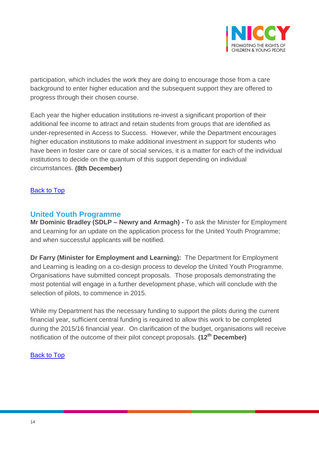

participation, which includes the work they are doing to encourage those from a care background to enter higher education and the subsequent support they are offered to progress through their chosen course.

Each year the higher education institutions re-invest a significant proportion of their additional fee income to attract and retain students from groups that are identified as under-represented in Access to Success. However, while the Department encourages higher education institutions to make additional investment in support for students who have been in foster care or care of social services, it is a matter for each of the individual institutions to decide on the quantum of this support depending on individual circumstances. **(8th December)**

### [Back to Top](#page-0-0)

### <span id="page-13-0"></span>**United Youth Programme**

**Mr Dominic Bradley (SDLP – Newry and Armagh) -** To ask the Minister for Employment and Learning for an update on the application process for the United Youth Programme; and when successful applicants will be notified.

**Dr Farry (Minister for Employment and Learning):** The Department for Employment and Learning is leading on a co-design process to develop the United Youth Programme. Organisations have submitted concept proposals. Those proposals demonstrating the most potential will engage in a further development phase, which will conclude with the selection of pilots, to commence in 2015.

While my Department has the necessary funding to support the pilots during the current financial year, sufficient central funding is required to allow this work to be completed during the 2015/16 financial year. On clarification of the budget, organisations will receive notification of the outcome of their pilot concept proposals. **(12th December)**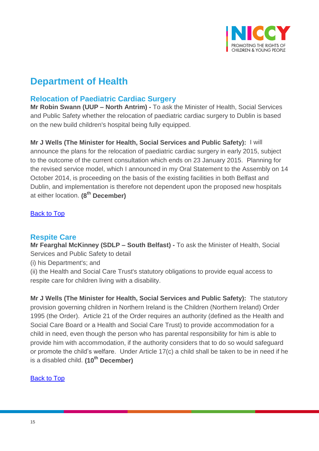

# **Department of Health**

# <span id="page-14-0"></span>**Relocation of Paediatric Cardiac Surgery**

**Mr Robin Swann (UUP – North Antrim) -** To ask the Minister of Health, Social Services and Public Safety whether the relocation of paediatric cardiac surgery to Dublin is based on the new build children's hospital being fully equipped.

**Mr J Wells (The Minister for Health, Social Services and Public Safety):** I will announce the plans for the relocation of paediatric cardiac surgery in early 2015, subject to the outcome of the current consultation which ends on 23 January 2015. Planning for the revised service model, which I announced in my Oral Statement to the Assembly on 14 October 2014, is proceeding on the basis of the existing facilities in both Belfast and Dublin, and implementation is therefore not dependent upon the proposed new hospitals at either location. **(8th December)**

### [Back to Top](#page-0-0)

## <span id="page-14-1"></span>**Respite Care**

**Mr Fearghal McKinney (SDLP – South Belfast) -** To ask the Minister of Health, Social Services and Public Safety to detail

(i) his Department's; and

(ii) the Health and Social Care Trust's statutory obligations to provide equal access to respite care for children living with a disability.

**Mr J Wells (The Minister for Health, Social Services and Public Safety):** The statutory provision governing children in Northern Ireland is the Children (Northern Ireland) Order 1995 (the Order). Article 21 of the Order requires an authority (defined as the Health and Social Care Board or a Health and Social Care Trust) to provide accommodation for a child in need, even though the person who has parental responsibility for him is able to provide him with accommodation, if the authority considers that to do so would safeguard or promote the child's welfare. Under Article 17(c) a child shall be taken to be in need if he is a disabled child. **(10th December)**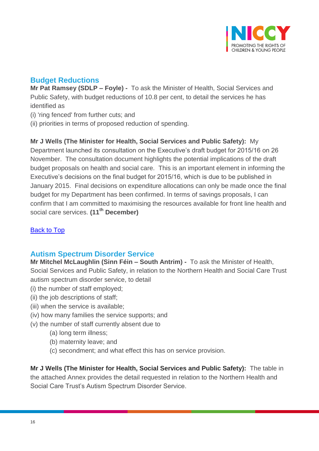

# <span id="page-15-0"></span>**Budget Reductions**

**Mr Pat Ramsey (SDLP – Foyle) -** To ask the Minister of Health, Social Services and Public Safety, with budget reductions of 10.8 per cent, to detail the services he has identified as

- (i) 'ring fenced' from further cuts; and
- (ii) priorities in terms of proposed reduction of spending.

**Mr J Wells (The Minister for Health, Social Services and Public Safety):** My Department launched its consultation on the Executive's draft budget for 2015/16 on 26 November. The consultation document highlights the potential implications of the draft budget proposals on health and social care. This is an important element in informing the Executive's decisions on the final budget for 2015/16, which is due to be published in January 2015. Final decisions on expenditure allocations can only be made once the final budget for my Department has been confirmed. In terms of savings proposals, I can confirm that I am committed to maximising the resources available for front line health and social care services. **(11th December)**

## **[Back to Top](#page-0-0)**

# <span id="page-15-1"></span>**Autism Spectrum Disorder Service**

**Mr Mitchel McLaughlin (Sinn Féin – South Antrim) -** To ask the Minister of Health, Social Services and Public Safety, in relation to the Northern Health and Social Care Trust autism spectrum disorder service, to detail

- (i) the number of staff employed;
- (ii) the job descriptions of staff;
- (iii) when the service is available;
- (iv) how many families the service supports; and
- (v) the number of staff currently absent due to
	- (a) long term illness;
	- (b) maternity leave; and
	- (c) secondment; and what effect this has on service provision.

**Mr J Wells (The Minister for Health, Social Services and Public Safety):** The table in the attached Annex provides the detail requested in relation to the Northern Health and Social Care Trust's Autism Spectrum Disorder Service.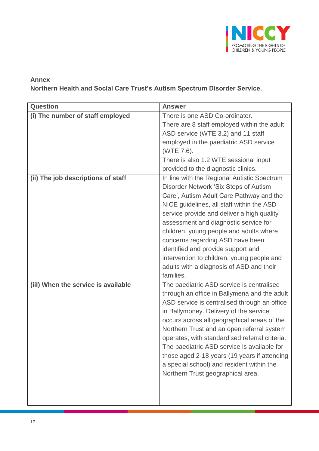

## **Annex Northern Health and Social Care Trust's Autism Spectrum Disorder Service.**

| <b>Question</b>                     | <b>Answer</b>                                  |
|-------------------------------------|------------------------------------------------|
| (i) The number of staff employed    | There is one ASD Co-ordinator.                 |
|                                     | There are 8 staff employed within the adult    |
|                                     | ASD service (WTE 3.2) and 11 staff             |
|                                     | employed in the paediatric ASD service         |
|                                     | (WTE 7.6).                                     |
|                                     | There is also 1.2 WTE sessional input          |
|                                     | provided to the diagnostic clinics.            |
| (ii) The job descriptions of staff  | In line with the Regional Autistic Spectrum    |
|                                     | Disorder Network 'Six Steps of Autism          |
|                                     | Care', Autism Adult Care Pathway and the       |
|                                     | NICE guidelines, all staff within the ASD      |
|                                     | service provide and deliver a high quality     |
|                                     | assessment and diagnostic service for          |
|                                     | children, young people and adults where        |
|                                     | concerns regarding ASD have been               |
|                                     | identified and provide support and             |
|                                     | intervention to children, young people and     |
|                                     | adults with a diagnosis of ASD and their       |
|                                     | families.                                      |
| (iil) When the service is available | The paediatric ASD service is centralised      |
|                                     | through an office in Ballymena and the adult   |
|                                     | ASD service is centralised through an office   |
|                                     | in Ballymoney. Delivery of the service         |
|                                     | occurs across all geographical areas of the    |
|                                     | Northern Trust and an open referral system     |
|                                     | operates, with standardised referral criteria. |
|                                     | The paediatric ASD service is available for    |
|                                     | those aged 2-18 years (19 years if attending   |
|                                     | a special school) and resident within the      |
|                                     | Northern Trust geographical area.              |
|                                     |                                                |
|                                     |                                                |
|                                     |                                                |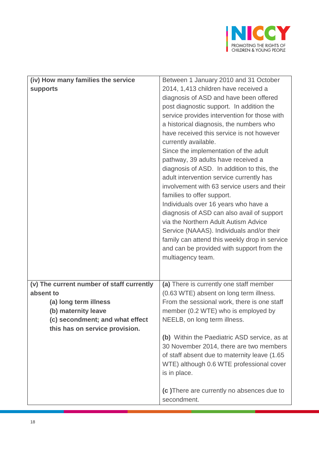

| (iv) How many families the service<br><b>supports</b>                                                                                                                       | Between 1 January 2010 and 31 October<br>2014, 1,413 children have received a<br>diagnosis of ASD and have been offered<br>post diagnostic support. In addition the<br>service provides intervention for those with<br>a historical diagnosis, the numbers who<br>have received this service is not however<br>currently available.<br>Since the implementation of the adult<br>pathway, 39 adults have received a<br>diagnosis of ASD. In addition to this, the<br>adult intervention service currently has<br>involvement with 63 service users and their<br>families to offer support.<br>Individuals over 16 years who have a<br>diagnosis of ASD can also avail of support |
|-----------------------------------------------------------------------------------------------------------------------------------------------------------------------------|---------------------------------------------------------------------------------------------------------------------------------------------------------------------------------------------------------------------------------------------------------------------------------------------------------------------------------------------------------------------------------------------------------------------------------------------------------------------------------------------------------------------------------------------------------------------------------------------------------------------------------------------------------------------------------|
|                                                                                                                                                                             | via the Northern Adult Autism Advice<br>Service (NAAAS). Individuals and/or their<br>family can attend this weekly drop in service<br>and can be provided with support from the<br>multiagency team.                                                                                                                                                                                                                                                                                                                                                                                                                                                                            |
| (v) The current number of staff currently<br>absent to<br>(a) long term illness<br>(b) maternity leave<br>(c) secondment; and what effect<br>this has on service provision. | (a) There is currently one staff member<br>(0.63 WTE) absent on long term illness.<br>From the sessional work, there is one staff<br>member (0.2 WTE) who is employed by<br>NEELB, on long term illness.<br>(b) Within the Paediatric ASD service, as at<br>30 November 2014, there are two members<br>of staff absent due to maternity leave (1.65)<br>WTE) although 0.6 WTE professional cover<br>is in place.<br>(c) There are currently no absences due to                                                                                                                                                                                                                  |
|                                                                                                                                                                             | secondment.                                                                                                                                                                                                                                                                                                                                                                                                                                                                                                                                                                                                                                                                     |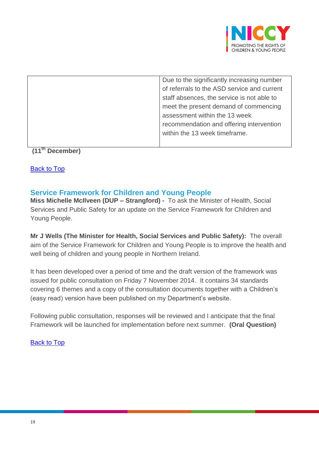

| Due to the significantly increasing number  |
|---------------------------------------------|
| of referrals to the ASD service and current |
| staff absences, the service is not able to  |
| meet the present demand of commencing       |
| assessment within the 13 week               |
| recommendation and offering intervention    |
| within the 13 week timeframe.               |
|                                             |
|                                             |

## **(11th December)**

[Back to Top](#page-0-0)

## <span id="page-18-0"></span>**Service Framework for Children and Young People**

**Miss Michelle McIlveen (DUP – Strangford) -** To ask the Minister of Health, Social Services and Public Safety for an update on the Service Framework for Children and Young People.

**Mr J Wells (The Minister for Health, Social Services and Public Safety):** The overall aim of the Service Framework for Children and Young People is to improve the health and well being of children and young people in Northern Ireland.

It has been developed over a period of time and the draft version of the framework was issued for public consultation on Friday 7 November 2014. It contains 34 standards covering 6 themes and a copy of the consultation documents together with a Children's (easy read) version have been published on my Department's website.

Following public consultation, responses will be reviewed and I anticipate that the final Framework will be launched for implementation before next summer. **(Oral Question)**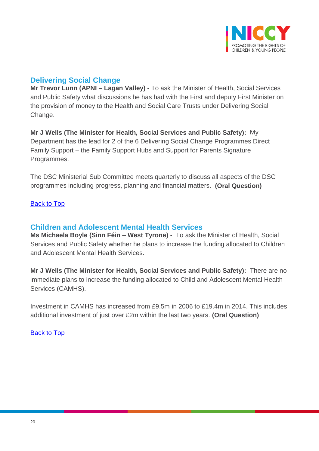

# <span id="page-19-0"></span>**Delivering Social Change**

**Mr Trevor Lunn (APNI – Lagan Valley) -** To ask the Minister of Health, Social Services and Public Safety what discussions he has had with the First and deputy First Minister on the provision of money to the Health and Social Care Trusts under Delivering Social Change.

**Mr J Wells (The Minister for Health, Social Services and Public Safety):** My Department has the lead for 2 of the 6 Delivering Social Change Programmes Direct Family Support – the Family Support Hubs and Support for Parents Signature Programmes.

The DSC Ministerial Sub Committee meets quarterly to discuss all aspects of the DSC programmes including progress, planning and financial matters. **(Oral Question)**

### [Back to Top](#page-0-0)

## <span id="page-19-1"></span>**Children and Adolescent Mental Health Services**

**Ms Michaela Boyle (Sinn Féin – West Tyrone) -** To ask the Minister of Health, Social Services and Public Safety whether he plans to increase the funding allocated to Children and Adolescent Mental Health Services.

**Mr J Wells (The Minister for Health, Social Services and Public Safety):** There are no immediate plans to increase the funding allocated to Child and Adolescent Mental Health Services (CAMHS).

Investment in CAMHS has increased from £9.5m in 2006 to £19.4m in 2014. This includes additional investment of just over £2m within the last two years. **(Oral Question)**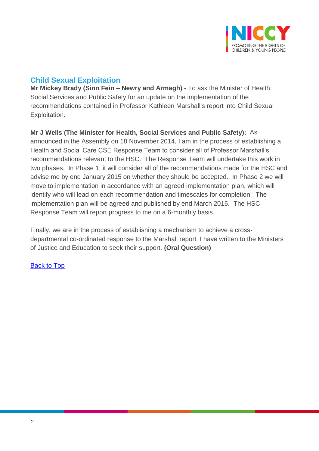

# <span id="page-20-0"></span>**Child Sexual Exploitation**

**Mr Mickey Brady (Sinn Fein – Newry and Armagh) -** To ask the Minister of Health, Social Services and Public Safety for an update on the implementation of the recommendations contained in Professor Kathleen Marshall's report into Child Sexual Exploitation.

**Mr J Wells (The Minister for Health, Social Services and Public Safety):** As announced in the Assembly on 18 November 2014, I am in the process of establishing a Health and Social Care CSE Response Team to consider all of Professor Marshall's recommendations relevant to the HSC. The Response Team will undertake this work in two phases. In Phase 1, it will consider all of the recommendations made for the HSC and advise me by end January 2015 on whether they should be accepted. In Phase 2 we will move to implementation in accordance with an agreed implementation plan, which will identify who will lead on each recommendation and timescales for completion. The implementation plan will be agreed and published by end March 2015. The HSC Response Team will report progress to me on a 6-monthly basis.

Finally, we are in the process of establishing a mechanism to achieve a crossdepartmental co-ordinated response to the Marshall report. I have written to the Ministers of Justice and Education to seek their support. **(Oral Question)**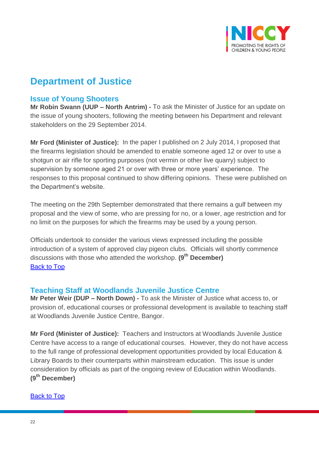

# **Department of Justice**

## <span id="page-21-0"></span>**Issue of Young Shooters**

**Mr Robin Swann (UUP – North Antrim) -** To ask the Minister of Justice for an update on the issue of young shooters, following the meeting between his Department and relevant stakeholders on the 29 September 2014.

**Mr Ford (Minister of Justice):** In the paper I published on 2 July 2014, I proposed that the firearms legislation should be amended to enable someone aged 12 or over to use a shotgun or air rifle for sporting purposes (not vermin or other live quarry) subject to supervision by someone aged 21 or over with three or more years' experience. The responses to this proposal continued to show differing opinions. These were published on the Department's website.

The meeting on the 29th September demonstrated that there remains a gulf between my proposal and the view of some, who are pressing for no, or a lower, age restriction and for no limit on the purposes for which the firearms may be used by a young person.

Officials undertook to consider the various views expressed including the possible introduction of a system of approved clay pigeon clubs. Officials will shortly commence discussions with those who attended the workshop. **(9th December)** [Back to Top](#page-0-0)

# <span id="page-21-1"></span>**Teaching Staff at Woodlands Juvenile Justice Centre**

**Mr Peter Weir (DUP – North Down) -** To ask the Minister of Justice what access to, or provision of, educational courses or professional development is available to teaching staff at Woodlands Juvenile Justice Centre, Bangor.

**Mr Ford (Minister of Justice):** Teachers and Instructors at Woodlands Juvenile Justice Centre have access to a range of educational courses. However, they do not have access to the full range of professional development opportunities provided by local Education & Library Boards to their counterparts within mainstream education. This issue is under consideration by officials as part of the ongoing review of Education within Woodlands. **(9th December)**